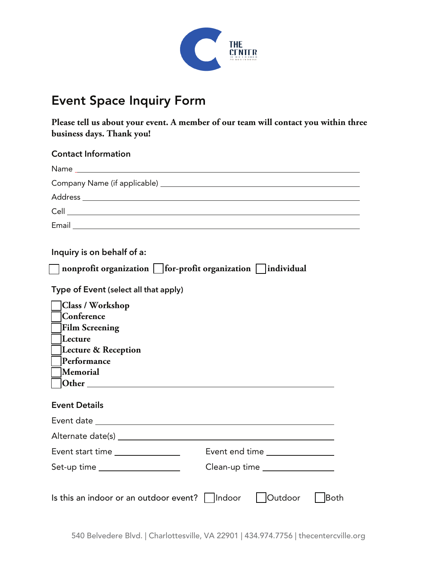

## Event Space Inquiry Form

**Please tell us about your event. A member of our team will contact you within three business days. Thank you!**

| <b>Contact Information</b>                                                                                                                                                                                                                                                     |                                |
|--------------------------------------------------------------------------------------------------------------------------------------------------------------------------------------------------------------------------------------------------------------------------------|--------------------------------|
|                                                                                                                                                                                                                                                                                |                                |
|                                                                                                                                                                                                                                                                                |                                |
|                                                                                                                                                                                                                                                                                |                                |
|                                                                                                                                                                                                                                                                                |                                |
|                                                                                                                                                                                                                                                                                |                                |
| Inquiry is on behalf of a:<br>nonprofit organization         for-profit organization       individual<br>Type of Event (select all that apply)<br><b>Class / Workshop</b><br> Conference<br><b>Film Screening</b><br>Lecture<br>Lecture & Reception<br>Performance<br>Memorial |                                |
| <b>Event Details</b>                                                                                                                                                                                                                                                           |                                |
|                                                                                                                                                                                                                                                                                |                                |
|                                                                                                                                                                                                                                                                                |                                |
| Event start time _______________                                                                                                                                                                                                                                               | Event end time ______________  |
| Set-up time __________________                                                                                                                                                                                                                                                 | Clean-up time ________________ |
| Is this an indoor or an outdoor event?     Indoor                                                                                                                                                                                                                              | <b>Outdoor</b><br><b>Both</b>  |